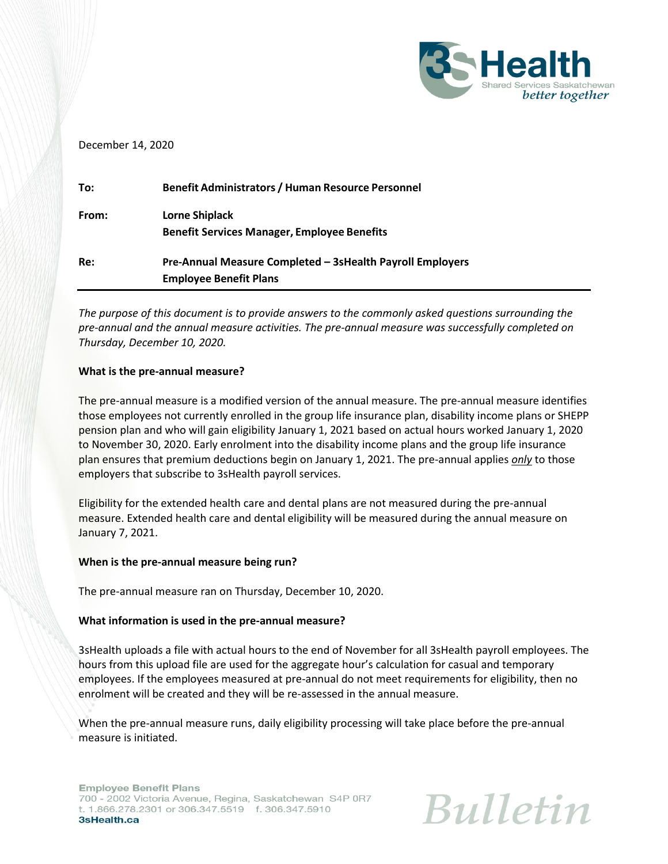

### December 14, 2020

| To:   | <b>Benefit Administrators / Human Resource Personnel</b>  |
|-------|-----------------------------------------------------------|
| From: | <b>Lorne Shiplack</b>                                     |
|       | <b>Benefit Services Manager, Employee Benefits</b>        |
| Re:   | Pre-Annual Measure Completed - 3sHealth Payroll Employers |
|       | <b>Employee Benefit Plans</b>                             |

*The purpose of this document is to provide answers to the commonly asked questions surrounding the pre-annual and the annual measure activities. The pre-annual measure was successfully completed on Thursday, December 10, 2020.*

### **What is the pre-annual measure?**

The pre-annual measure is a modified version of the annual measure. The pre-annual measure identifies those employees not currently enrolled in the group life insurance plan, disability income plans or SHEPP pension plan and who will gain eligibility January 1, 2021 based on actual hours worked January 1, 2020 to November 30, 2020. Early enrolment into the disability income plans and the group life insurance plan ensures that premium deductions begin on January 1, 2021. The pre-annual applies *only* to those employers that subscribe to 3sHealth payroll services.

Eligibility for the extended health care and dental plans are not measured during the pre-annual measure. Extended health care and dental eligibility will be measured during the annual measure on January 7, 2021.

### **When is the pre-annual measure being run?**

The pre-annual measure ran on Thursday, December 10, 2020.

# **What information is used in the pre-annual measure?**

3sHealth uploads a file with actual hours to the end of November for all 3sHealth payroll employees. The hours from this upload file are used for the aggregate hour's calculation for casual and temporary employees. If the employees measured at pre-annual do not meet requirements for eligibility, then no enrolment will be created and they will be re-assessed in the annual measure.

When the pre-annual measure runs, daily eligibility processing will take place before the pre-annual measure is initiated.

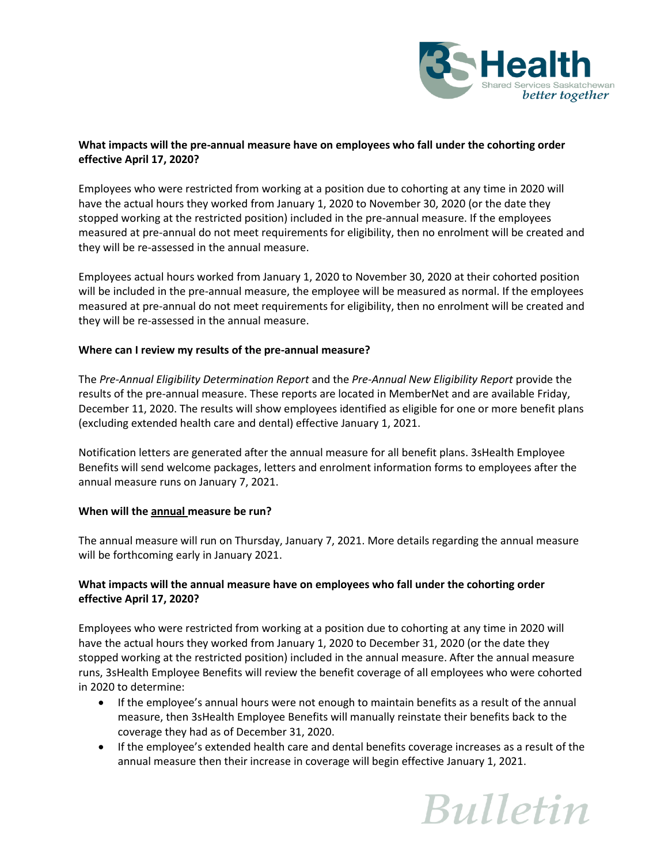

# **What impacts will the pre-annual measure have on employees who fall under the cohorting order effective April 17, 2020?**

Employees who were restricted from working at a position due to cohorting at any time in 2020 will have the actual hours they worked from January 1, 2020 to November 30, 2020 (or the date they stopped working at the restricted position) included in the pre-annual measure. If the employees measured at pre-annual do not meet requirements for eligibility, then no enrolment will be created and they will be re-assessed in the annual measure.

Employees actual hours worked from January 1, 2020 to November 30, 2020 at their cohorted position will be included in the pre-annual measure, the employee will be measured as normal. If the employees measured at pre-annual do not meet requirements for eligibility, then no enrolment will be created and they will be re-assessed in the annual measure.

# **Where can I review my results of the pre-annual measure?**

The *Pre-Annual Eligibility Determination Report* and the *Pre-Annual New Eligibility Report* provide the results of the pre-annual measure. These reports are located in MemberNet and are available Friday, December 11, 2020. The results will show employees identified as eligible for one or more benefit plans (excluding extended health care and dental) effective January 1, 2021.

Notification letters are generated after the annual measure for all benefit plans. 3sHealth Employee Benefits will send welcome packages, letters and enrolment information forms to employees after the annual measure runs on January 7, 2021.

### **When will the annual measure be run?**

The annual measure will run on Thursday, January 7, 2021. More details regarding the annual measure will be forthcoming early in January 2021.

# **What impacts will the annual measure have on employees who fall under the cohorting order effective April 17, 2020?**

Employees who were restricted from working at a position due to cohorting at any time in 2020 will have the actual hours they worked from January 1, 2020 to December 31, 2020 (or the date they stopped working at the restricted position) included in the annual measure. After the annual measure runs, 3sHealth Employee Benefits will review the benefit coverage of all employees who were cohorted in 2020 to determine:

- If the employee's annual hours were not enough to maintain benefits as a result of the annual measure, then 3sHealth Employee Benefits will manually reinstate their benefits back to the coverage they had as of December 31, 2020.
- If the employee's extended health care and dental benefits coverage increases as a result of the annual measure then their increase in coverage will begin effective January 1, 2021.